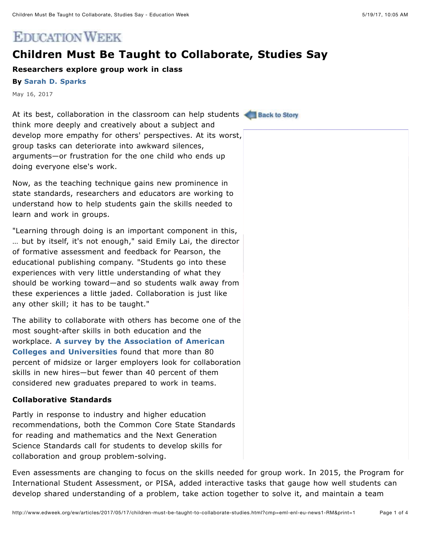# **EDUCATION WEEK**

## **Children Must Be Taught to Collaborate, Studies Say**

## **Researchers explore group work in class**

#### **By [Sarah D. Sparks](http://www.edweek.org/ew/contributors/sarah.sparks_3549540.html)**

May 16, 2017

At its best, collaboration in the classroom can help students **Standard Back to Story** think more deeply and creatively about a subject and develop more empathy for others' perspectives. At its worst, group tasks can deteriorate into awkward silences, arguments—or frustration for the one child who ends up doing everyone else's work.

Now, as the teaching technique gains new prominence in state standards, researchers and educators are working to understand how to help students gain the skills needed to learn and work in groups.

"Learning through doing is an important component in this, … but by itself, it's not enough," said Emily Lai, the director of formative assessment and feedback for Pearson, the educational publishing company. "Students go into these experiences with very little understanding of what they should be working toward—and so students walk away from these experiences a little jaded. Collaboration is just like any other skill; it has to be taught."

The ability to collaborate with others has become one of the most sought-after skills in both education and the workplace. **[A survey by the Association of American](https://www.aacu.org/leap/public-opinion-research/2015-survey-falling-short) Colleges and Universities** found that more than 80 percent of midsize or larger employers look for collaboration skills in new hires—but fewer than 40 percent of them considered new graduates prepared to work in teams.

#### **Collaborative Standards**

Partly in response to industry and higher education recommendations, both the Common Core State Standards for reading and mathematics and the Next Generation Science Standards call for students to develop skills for collaboration and group problem-solving.

Even assessments are changing to focus on the skills needed for group work. In 2015, the Program for International Student Assessment, or PISA, added interactive tasks that gauge how well students can develop shared understanding of a problem, take action together to solve it, and maintain a team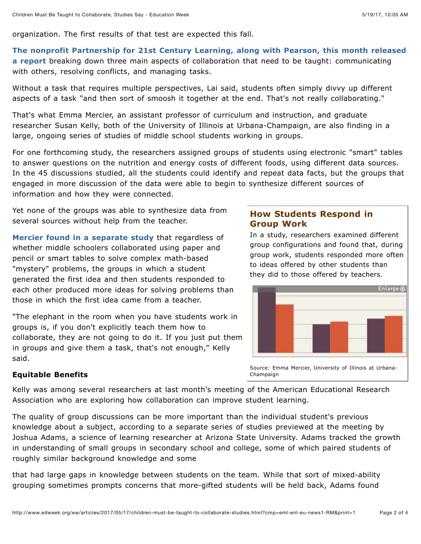organization. The first results of that test are expected this fall.

## **[The nonprofit Partnership for 21st Century Learning, along with Pearson, this month released](http://www.p21.org/component/content/article/36-general/2169-skillsfortodaycollaboration)**

**a report** breaking down three main aspects of collaboration that need to be taught: communicating with others, resolving conflicts, and managing tasks.

Without a task that requires multiple perspectives, Lai said, students often simply divvy up different aspects of a task "and then sort of smoosh it together at the end. That's not really collaborating."

That's what Emma Mercier, an assistant professor of curriculum and instruction, and graduate researcher Susan Kelly, both of the University of Illinois at Urbana-Champaign, are also finding in a large, ongoing series of studies of middle school students working in groups.

For one forthcoming study, the researchers assigned groups of students using electronic "smart" tables to answer questions on the nutrition and energy costs of different foods, using different data sources. In the 45 discussions studied, all the students could identify and repeat data facts, but the groups that engaged in more discussion of the data were able to begin to synthesize different sources of information and how they were connected.

Yet none of the groups was able to synthesize data from several sources without help from the teacher.

**[Mercier found in a separate study](http://onlinelibrary.wiley.com/doi/10.1111/bjet.12351/epdf)** that regardless of whether middle schoolers collaborated using paper and pencil or smart tables to solve complex math-based "mystery" problems, the groups in which a student generated the first idea and then students responded to each other produced more ideas for solving problems than those in which the first idea came from a teacher.

"The elephant in the room when you have students work in groups is, if you don't explicitly teach them how to collaborate, they are not going to do it. If you just put them in groups and give them a task, that's not enough," Kelly said.

## **How Students Respond in Group Work**

In a study, researchers examined different group configurations and found that, during group work, students responded more often to ideas offered by other students than they did to those offered by teachers.



#### **Equitable Benefits**

Kelly was among several researchers at last month's meeting of the American Educational Research Association who are exploring how collaboration can improve student learning.

The quality of group discussions can be more important than the individual student's previous knowledge about a subject, according to a separate series of studies previewed at the meeting by Joshua Adams, a science of learning researcher at Arizona State University. Adams tracked the growth in understanding of small groups in secondary school and college, some of which paired students of roughly similar background knowledge and some

that had large gaps in knowledge between students on the team. While that sort of mixed-ability grouping sometimes prompts concerns that more-gifted students will be held back, Adams found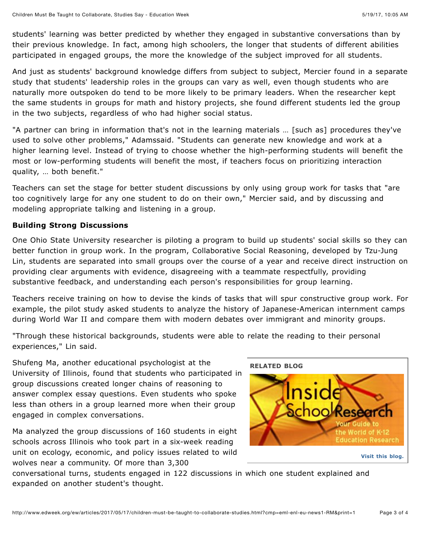students' learning was better predicted by whether they engaged in substantive conversations than by their previous knowledge. In fact, among high schoolers, the longer that students of different abilities participated in engaged groups, the more the knowledge of the subject improved for all students.

And just as students' background knowledge differs from subject to subject, Mercier found in a separate study that students' leadership roles in the groups can vary as well, even though students who are naturally more outspoken do tend to be more likely to be primary leaders. When the researcher kept the same students in groups for math and history projects, she found different students led the group in the two subjects, regardless of who had higher social status.

"A partner can bring in information that's not in the learning materials … [such as] procedures they've used to solve other problems," Adamssaid. "Students can generate new knowledge and work at a higher learning level. Instead of trying to choose whether the high-performing students will benefit the most or low-performing students will benefit the most, if teachers focus on prioritizing interaction quality, … both benefit."

Teachers can set the stage for better student discussions by only using group work for tasks that "are too cognitively large for any one student to do on their own," Mercier said, and by discussing and modeling appropriate talking and listening in a group.

## **Building Strong Discussions**

One Ohio State University researcher is piloting a program to build up students' social skills so they can better function in group work. In the program, Collaborative Social Reasoning, developed by Tzu-Jung Lin, students are separated into small groups over the course of a year and receive direct instruction on providing clear arguments with evidence, disagreeing with a teammate respectfully, providing substantive feedback, and understanding each person's responsibilities for group learning.

Teachers receive training on how to devise the kinds of tasks that will spur constructive group work. For example, the pilot study asked students to analyze the history of Japanese-American internment camps during World War II and compare them with modern debates over immigrant and minority groups.

"Through these historical backgrounds, students were able to relate the reading to their personal experiences," Lin said.

Shufeng Ma, another educational psychologist at the University of Illinois, found that students who participated in group discussions created longer chains of reasoning to answer complex essay questions. Even students who spoke less than others in a group learned more when their group engaged in complex conversations.

Ma analyzed the group discussions of 160 students in eight schools across Illinois who took part in a six-week reading unit on ecology, economic, and policy issues related to wild wolves near a community. Of more than 3,300



conversational turns, students engaged in 122 discussions in which one student explained and expanded on another student's thought.